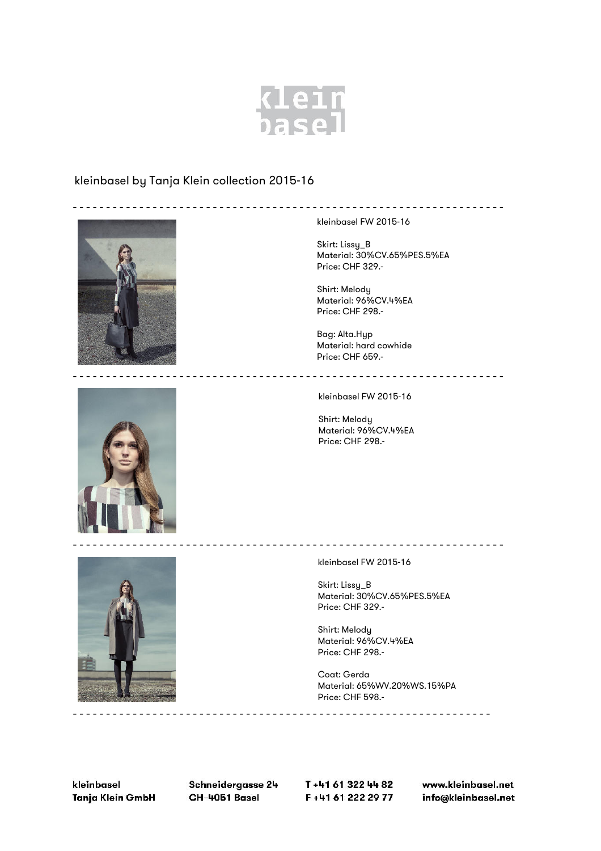

## kleinbasel by Tanja Klein collection 2015-16



kleinbasel FW 2015-16

Skirt: Lissy\_B Material: 30%CV.65%PES.5%EA Price: CHF 329.-

-----------------------------------------------------------------

Shirt: Melody Material: 96%CV.4%EA Price: CHF 298.-

Bag: Alta.Hyp Material: hard cowhide Price: CHF 659.-

kleinbasel FW 2015-16

-----------------------------------------------------------------

-----------------------------------------------------------------

Shirt: Melody Material: 96%CV.4%EA Price: CHF 298.-



kleinbasel FW 2015-16

Skirt: Lissy\_B Material: 30%CV.65%PES.5%EA Price: CHF 329.-

Shirt: Melody Material: 96%CV.4%EA Price: CHF 298.-

Coat: Gerda Material: 65%WV.20%WS.15%PA Price: CHF 598.-

kleinbasel Tanja Klein GmbH Schneidergasse 24 CH-4051 Basel

---------------------------------------------------------------

T+41 61 322 44 82 F+41 61 222 29 77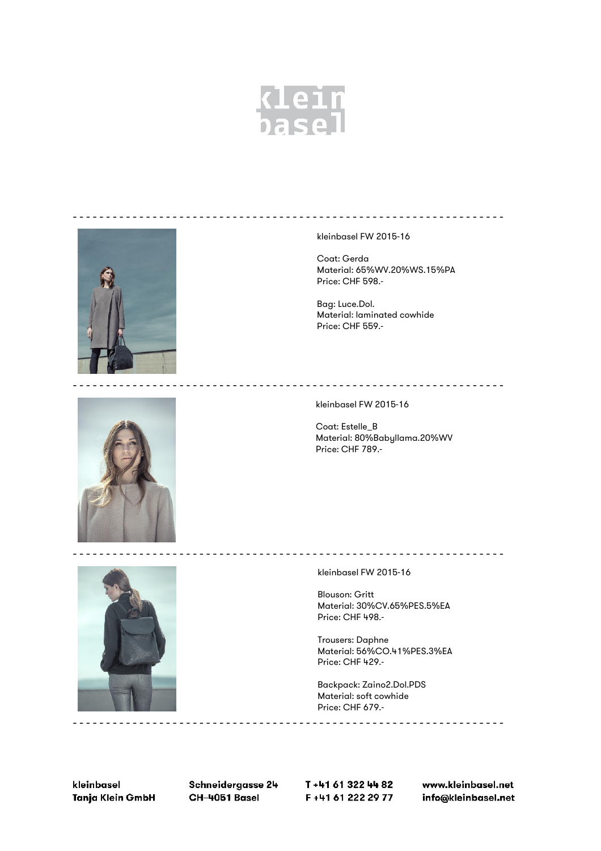



Backpack: Zaino2.Dol.PDS Material: soft cowhide Price: CHF 679 .-

kleinbasel Tanja Klein GmbH

Schneidergasse 24 CH-4051 Basel

T+41 61 322 44 82 F+41 61 222 29 77 www.kleinbasel.net info@kleinbasel.net

-----------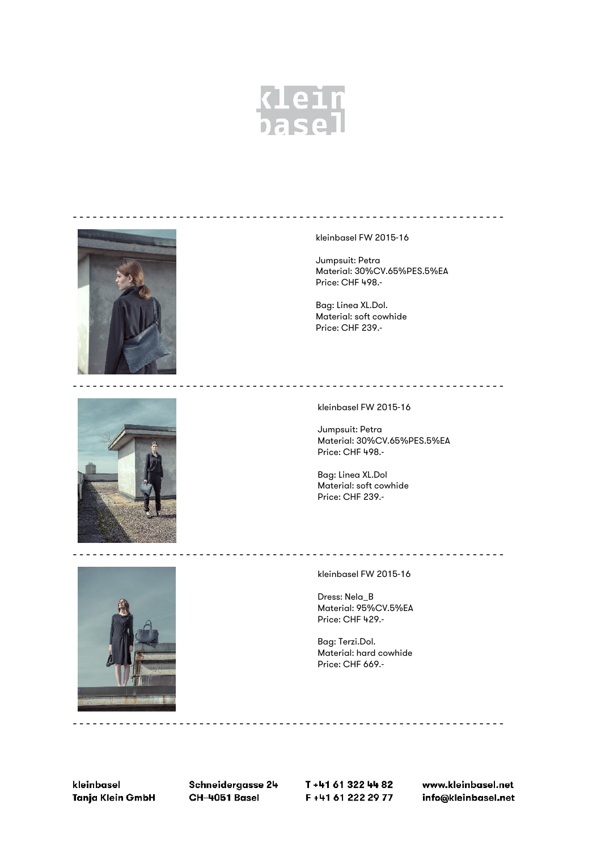



kleinbasel FW 2015-16

Jumpsuit: Petra Material: 30%CV.65%PES.5%EA Price: CHF 498.-

-----------------------------------------------------------------

Bag: Linea XL.Dol. Material: soft cowhide Price: CHF 239.-



kleinbasel FW 2015-16

Jumpsuit: Petra Material: 30%CV.65%PES.5%EA Price: CHF 498.-

Bag: Linea XL.Dol Material: soft cowhide Price: CHF 239.-



kleinbasel FW 2015-16

Dress: Nela\_B Material: 95%CV.5%EA Price: CHF 429.-

Bag: Terzi.Dol. Material: hard cowhide Price: CHF 669.-

kleinbasel Tanja Klein GmbH Schneidergasse 24 CH-4051 Basel

-----------------------------------------------------------------

T+41 61 322 44 82 F+41 61 222 29 77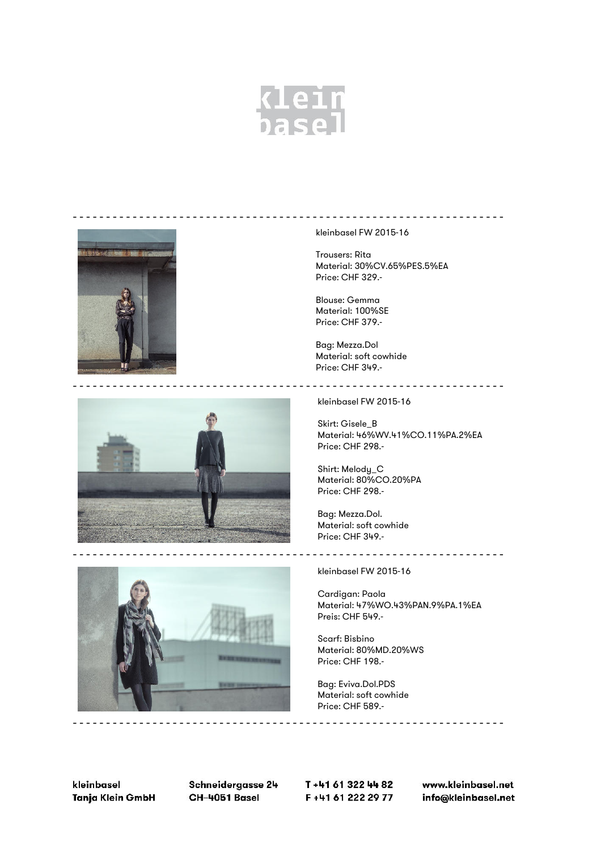



kleinbasel FW 2015-16

Trousers: Rita Material: 30%CV.65%PES.5%EA Price: CHF 329.-

Blouse: Gemma Material: 100%SE Price: CHF 379.-

Bag: Mezza.Dol Material: soft cowhide Price: CHF 349.-



kleinbasel FW 2015-16

Skirt: Gisele\_B Material: 46%WV.41%CO.11%PA.2%EA Price: CHF 298.-

Shirt: Melody\_C Material: 80%CO.20%PA Price: CHF 298.-

Bag: Mezza.Dol. Material: soft cowhide Price: CHF 349.-

kleinbasel FW 2015-16

Cardigan: Paola Material: 47%WO.43%PAN.9%PA.1%EA Preis: CHF 549.-

Scarf: Bisbino Material: 80%MD.20%WS Price: CHF 198.-

Bag: Eviva.Dol.PDS Material: soft cowhide Price: CHF 589.-

kleinbasel Tanja Klein GmbH Schneidergasse 24 CH-4051 Basel

T+41 61 322 44 82 F+41 61 222 29 77